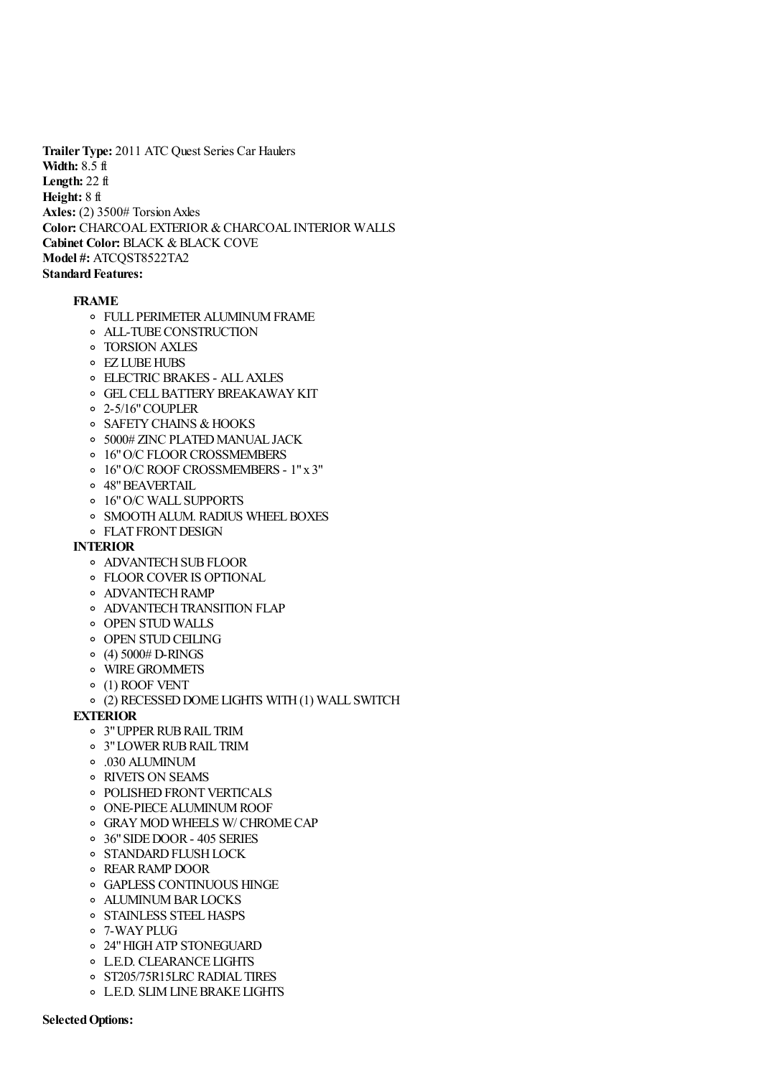**Trailer Type:** 2011 ATC Quest Series Car Haulers **Width:** 8.5 ft **Length:** 22 ft **Height:** 8 ft **Axles:** (2) 3500# Torsion Axles **Color:** CHARCOAL EXTERIOR & CHARCOAL INTERIOR WALLS **Cabinet Color:** BLACK & BLACK COVE **Model #:** ATCQST8522TA2 **Standard Features:**

## **FRAME**

- FULL PERIMETER ALUMINUM FRAME
- ALL-TUBE CONSTRUCTION
- TORSION AXLES
- EZ LUBE HUBS
- ELECTRIC BRAKES ALL AXLES
- GEL CELL BATTERY BREAKAWAY KIT
- 2-5/16" COUPLER
- SAFETY CHAINS & HOOKS
- 5000# ZINC PLATED MANUAL JACK
- 16" O/C FLOOR CROSSMEMBERS
- 16" O/C ROOF CROSSMEMBERS 1" x 3"
- 48" BEAVERTAIL
- 16" O/C WALL SUPPORTS
- SMOOTH ALUM. RADIUS WHEEL BOXES
- FLAT FRONT DESIGN

## **INTERIOR**

- ADVANTECH SUB FLOOR
- FLOOR COVER IS OPTIONAL
- ADVANTECH RAMP
- ADVANTECH TRANSITION FLAP
- OPEN STUD WALLS
- o OPEN STUD CEILING
- $\circ$  (4) 5000# D-RINGS
- WIRE GROMMETS
- (1) ROOF VENT
- (2) RECESSED DOME LIGHTS WITH (1) WALL SWITCH

## **EXTERIOR**

- 3" UPPER RUB RAIL TRIM
- 3" LOWER RUB RAIL TRIM
- .030 ALUMINUM
- RIVETS ON SEAMS
- o POLISHED FRONT VERTICALS
- ONE-PIECE ALUMINUM ROOF
- GRAY MOD WHEELS W/ CHROME CAP
- 36" SIDE DOOR 405 SERIES
- **O STANDARD FLUSH LOCK**
- REAR RAMP DOOR
- GAPLESS CONTINUOUS HINGE
- ALUMINUM BAR LOCKS
- STAINLESS STEEL HASPS
- 7-WAY PLUG
- 24" HIGH ATP STONEGUARD
- L.E.D. CLEARANCE LIGHTS
- o ST205/75R15LRC RADIAL TIRES
- L.E.D. SLIM LINE BRAKE LIGHTS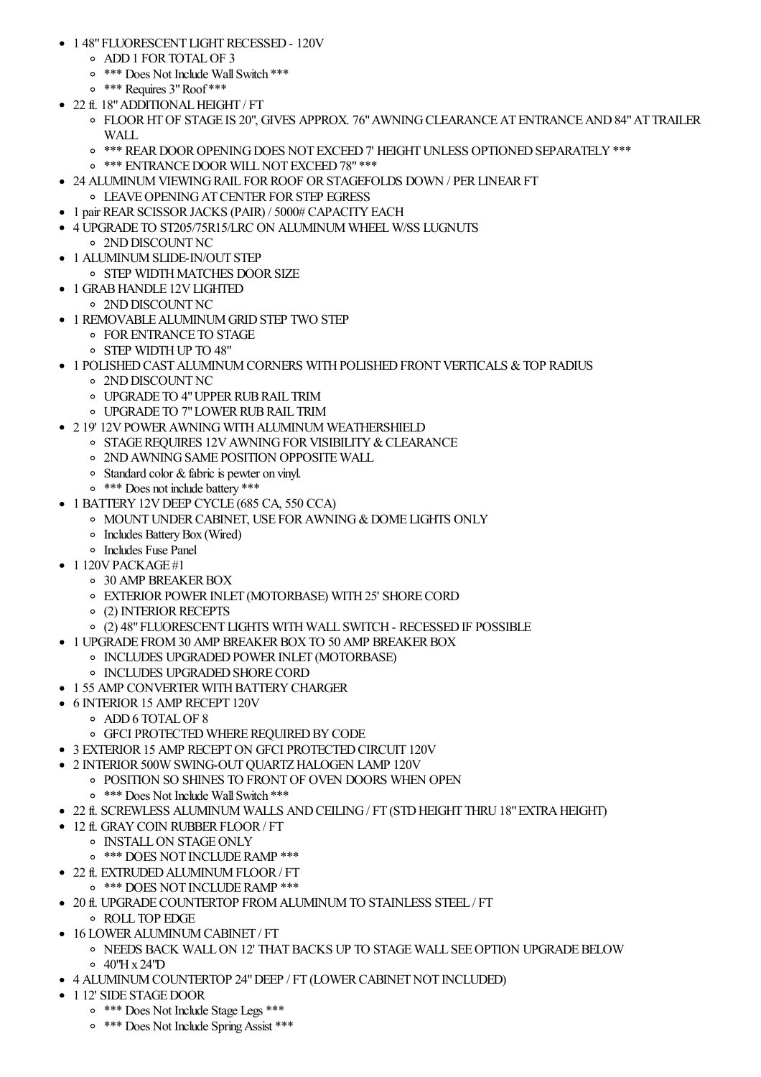- 1 48" FLUORESCENT LIGHT RECESSED 120V
	- ADD 1 FOR TOTAL OF 3
	- \*\*\* Does Not Include Wall Switch \*\*\*
	- \*\*\* Requires 3" Roof \*\*\*
- 22 ft. 18" ADDITIONAL HEIGHT / FT
	- FLOOR HT OF STAGE IS 20", GIVES APPROX. 76" AWNING CLEARANCE AT ENTRANCE AND 84" AT TRAILER WALL
	- \*\*\* REAR DOOR OPENING DOES NOT EXCEED 7' HEIGHT UNLESS OPTIONED SEPARATELY \*\*\*
	- \*\*\* ENTRANCE DOOR WILL NOT EXCEED 78" \*\*\*
- 24 ALUMINUM VIEWING RAIL FOR ROOF OR STAGEFOLDS DOWN / PER LINEAR FT LEAVE OPENING AT CENTER FOR STEP EGRESS
- 1 pair REAR SCISSOR JACKS (PAIR) / 5000# CAPACITY EACH
- 4 UPGRADE TO ST205/75R15/LRC ON ALUMINUM WHEEL W/SS LUGNUTS 2ND DISCOUNT NC
	- 1 ALUMINUM SLIDE-IN/OUT STEP
		- STEP WIDTH MATCHES DOOR SIZE
- 1 GRAB HANDLE 12V LIGHTED
- 2ND DISCOUNT NC
- 1 REMOVABLE ALUMINUM GRID STEP TWO STEP
	- FOR ENTRANCE TO STAGE
	- STEP WIDTH UP TO 48"
- 1 POLISHED CAST ALUMINUM CORNERS WITH POLISHED FRONT VERTICALS & TOP RADIUS
	- 2ND DISCOUNT NC
	- UPGRADE TO 4" UPPER RUB RAIL TRIM
	- UPGRADE TO 7" LOWER RUB RAIL TRIM
- 2 19' 12V POWER AWNING WITH ALUMINUM WEATHERSHIELD
	- o STAGE REQUIRES 12V AWNING FOR VISIBILITY & CLEARANCE
		- 2ND AWNING SAME POSITION OPPOSITE WALL
		- Standard color & fabric is pewter on vinyl.
		- \*\*\* Does not include battery \*\*\*
- 1 BATTERY 12V DEEP CYCLE (685 CA, 550 CCA)
	- MOUNT UNDER CABINET, USE FOR AWNING & DOME LIGHTS ONLY
	- Includes Battery Box (Wired)
- Includes Fuse Panel
- $-1120V$  PACKAGE#1
	- 30 AMP BREAKER BOX
	- EXTERIOR POWER INLET (MOTORBASE) WITH 25' SHORE CORD
	- (2) INTERIOR RECEPTS
	- (2) 48" FLUORESCENT LIGHTS WITH WALL SWITCH RECESSED IF POSSIBLE
- 1 UPGRADE FROM 30 AMP BREAKER BOX TO 50 AMP BREAKER BOX
	- o INCLUDES UPGRADED POWER INLET (MOTORBASE)
	- INCLUDES UPGRADED SHORE CORD
- 1 55 AMP CONVERTER WITH BATTERY CHARGER
- 6 INTERIOR 15 AMP RECEPT 120V
	- ADD 6 TOTAL OF 8
	- GFCI PROTECTED WHERE REQUIRED BY CODE
- 3 EXTERIOR 15 AMP RECEPT ON GFCI PROTECTED CIRCUIT 120V
- 2 INTERIOR 500W SWING-OUT QUARTZ HALOGEN LAMP 120V
	- POSITION SO SHINES TO FRONT OF OVEN DOORS WHEN OPEN
		- \*\*\* Does Not Include Wall Switch \*\*\*
- 22 ft. SCREWLESS ALUMINUM WALLS AND CEILING / FT (STD HEIGHT THRU 18" EXTRA HEIGHT)
	- 12 ft. GRAY COIN RUBBER FLOOR / FT
		- **O** INSTALL ON STAGE ONLY
			- \*\*\* DOES NOT INCLUDE RAMP \*\*\*
- 22 ft. EXTRUDED ALUMINUM FLOOR / FT
	- \*\*\* DOES NOT INCLUDE RAMP \*\*\*
- 20 ft. UPGRADE COUNTERTOP FROM ALUMINUM TO STAINLESS STEEL / FT
	- ROLL TOP EDGE
- 16 LOWER ALUMINUM CABINET / FT
	- $\circ$  NEEDS BACK WALL ON 12' THAT BACKS UP TO STAGE WALL SEE OPTION UPGRADE BELOW  $0.40$ "H x  $24$ "D
- 4 ALUMINUM COUNTERTOP 24" DEEP / FT (LOWER CABINET NOT INCLUDED)
- 1 12' SIDE STAGE DOOR
	- \*\*\* Does Not Include Stage Legs \*\*\*
	- \*\*\* Does Not Include Spring Assist \*\*\*